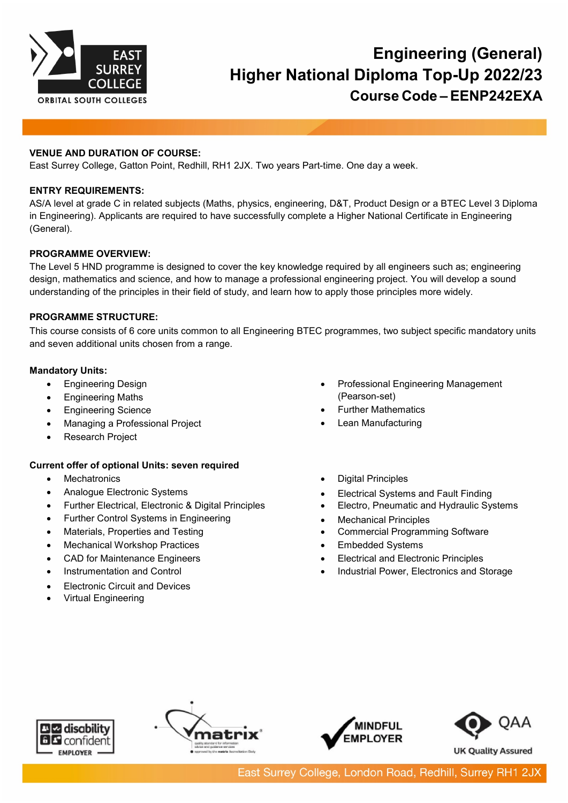

# **Engineering (General) Higher National Diploma Top-Up 2022/23 Course Code – EENP242EXA**

# **VENUE AND DURATION OF COURSE:**

East Surrey College, Gatton Point, Redhill, RH1 2JX. Two years Part-time. One day a week.

## **ENTRY REQUIREMENTS:**

AS/A level at grade C in related subjects (Maths, physics, engineering, D&T, Product Design or a BTEC Level 3 Diploma in Engineering). Applicants are required to have successfully complete a Higher National Certificate in Engineering (General).

## **PROGRAMME OVERVIEW:**

The Level 5 HND programme is designed to cover the key knowledge required by all engineers such as; engineering design, mathematics and science, and how to manage a professional engineering project. You will develop a sound understanding of the principles in their field of study, and learn how to apply those principles more widely.

# **PROGRAMME STRUCTURE:**

This course consists of 6 core units common to all Engineering BTEC programmes, two subject specific mandatory units and seven additional units chosen from a range.

## **Mandatory Units:**

- Engineering Design
- Engineering Maths
- Engineering Science
- Managing a Professional Project
- Research Project

## **Current offer of optional Units: seven required**

- Mechatronics
- Analogue Electronic Systems
- Further Electrical, Electronic & Digital Principles
- Further Control Systems in Engineering
- Materials, Properties and Testing
- **Mechanical Workshop Practices**
- CAD for Maintenance Engineers
- Instrumentation and Control
- **Electronic Circuit and Devices**
- Virtual Engineering
- Professional Engineering Management (Pearson-set)
- Further Mathematics
- Lean Manufacturing
- Digital Principles
- Electrical Systems and Fault Finding
- Electro, Pneumatic and Hydraulic Systems
- Mechanical Principles
- Commercial Programming Software
- Embedded Systems
- Electrical and Electronic Principles
- Industrial Power, Electronics and Storage